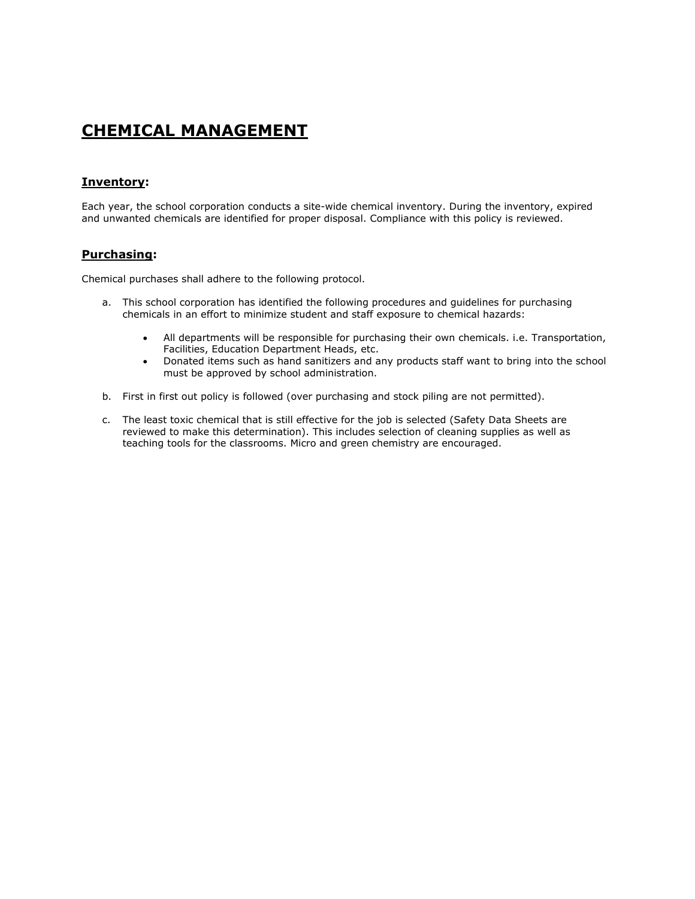# **CHEMICAL MANAGEMENT**

#### **Inventory:**

Each year, the school corporation conducts a site-wide chemical inventory. During the inventory, expired and unwanted chemicals are identified for proper disposal. Compliance with this policy is reviewed.

#### **Purchasing:**

Chemical purchases shall adhere to the following protocol.

- a. This school corporation has identified the following procedures and guidelines for purchasing chemicals in an effort to minimize student and staff exposure to chemical hazards:
	- All departments will be responsible for purchasing their own chemicals. i.e. Transportation, Facilities, Education Department Heads, etc.
	- Donated items such as hand sanitizers and any products staff want to bring into the school must be approved by school administration.
- b. First in first out policy is followed (over purchasing and stock piling are not permitted).
- c. The least toxic chemical that is still effective for the job is selected (Safety Data Sheets are reviewed to make this determination). This includes selection of cleaning supplies as well as teaching tools for the classrooms. Micro and green chemistry are encouraged.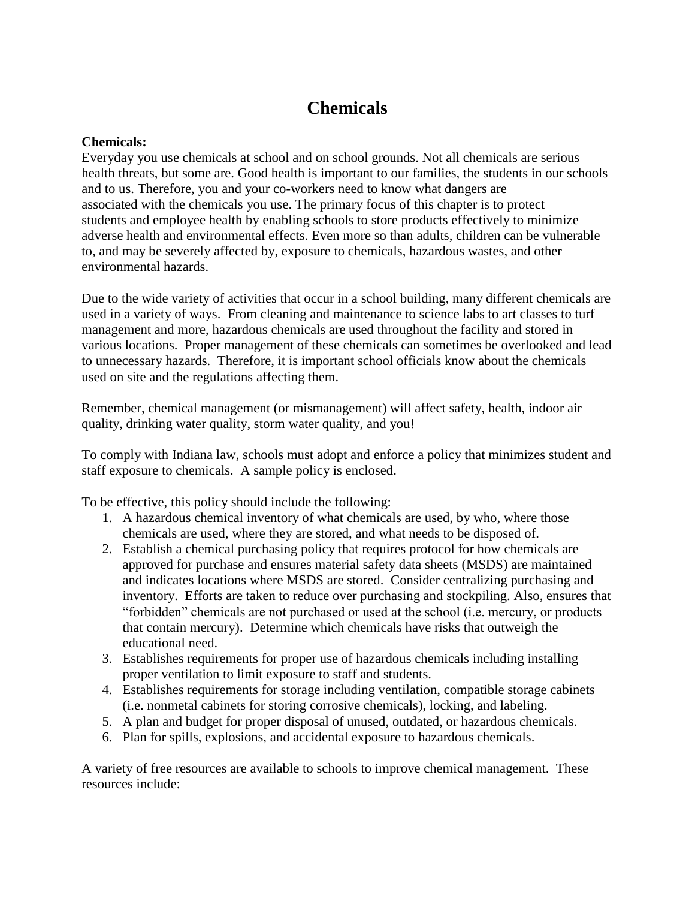# **Chemicals**

## **Chemicals:**

Everyday you use chemicals at school and on school grounds. Not all chemicals are serious health threats, but some are. Good health is important to our families, the students in our schools and to us. Therefore, you and your co-workers need to know what dangers are associated with the chemicals you use. The primary focus of this chapter is to protect students and employee health by enabling schools to store products effectively to minimize adverse health and environmental effects. Even more so than adults, children can be vulnerable to, and may be severely affected by, exposure to chemicals, hazardous wastes, and other environmental hazards.

Due to the wide variety of activities that occur in a school building, many different chemicals are used in a variety of ways. From cleaning and maintenance to science labs to art classes to turf management and more, hazardous chemicals are used throughout the facility and stored in various locations. Proper management of these chemicals can sometimes be overlooked and lead to unnecessary hazards. Therefore, it is important school officials know about the chemicals used on site and the regulations affecting them.

Remember, chemical management (or mismanagement) will affect safety, health, indoor air quality, drinking water quality, storm water quality, and you!

To comply with Indiana law, schools must adopt and enforce a policy that minimizes student and staff exposure to chemicals. A sample policy is enclosed.

To be effective, this policy should include the following:

- 1. A hazardous chemical inventory of what chemicals are used, by who, where those chemicals are used, where they are stored, and what needs to be disposed of.
- 2. Establish a chemical purchasing policy that requires protocol for how chemicals are approved for purchase and ensures material safety data sheets (MSDS) are maintained and indicates locations where MSDS are stored. Consider centralizing purchasing and inventory. Efforts are taken to reduce over purchasing and stockpiling. Also, ensures that "forbidden" chemicals are not purchased or used at the school (i.e. mercury, or products that contain mercury). Determine which chemicals have risks that outweigh the educational need.
- 3. Establishes requirements for proper use of hazardous chemicals including installing proper ventilation to limit exposure to staff and students.
- 4. Establishes requirements for storage including ventilation, compatible storage cabinets (i.e. nonmetal cabinets for storing corrosive chemicals), locking, and labeling.
- 5. A plan and budget for proper disposal of unused, outdated, or hazardous chemicals.
- 6. Plan for spills, explosions, and accidental exposure to hazardous chemicals.

A variety of free resources are available to schools to improve chemical management. These resources include: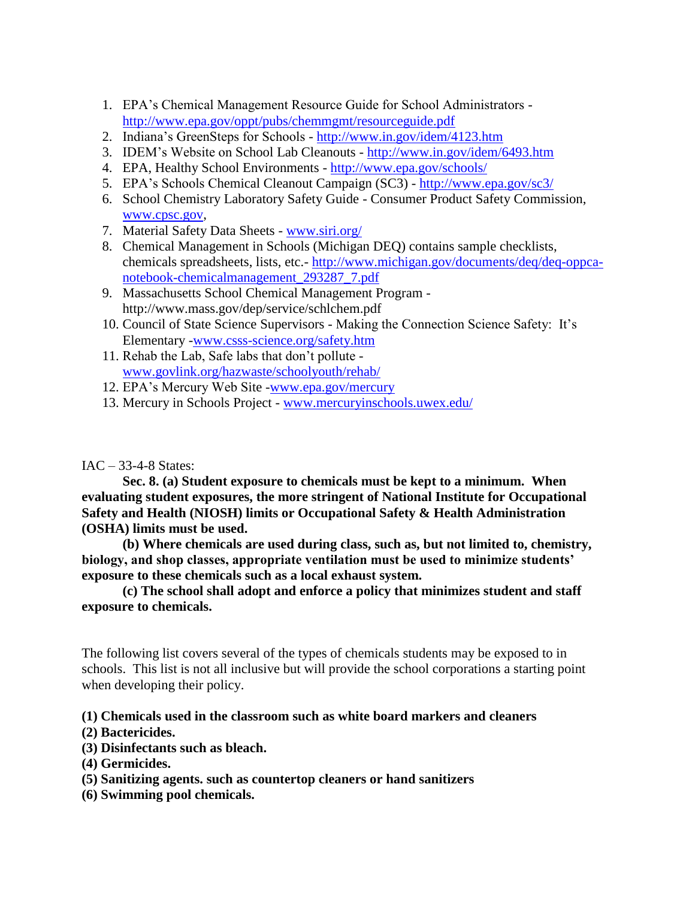- 1. EPA's Chemical Management Resource Guide for School Administrators <http://www.epa.gov/oppt/pubs/chemmgmt/resourceguide.pdf>
- 2. Indiana's GreenSteps for Schools <http://www.in.gov/idem/4123.htm>
- 3. IDEM's Website on School Lab Cleanouts <http://www.in.gov/idem/6493.htm>
- 4. EPA, Healthy School Environments <http://www.epa.gov/schools/>
- 5. EPA's Schools Chemical Cleanout Campaign (SC3) <http://www.epa.gov/sc3/>
- 6. School Chemistry Laboratory Safety Guide Consumer Product Safety Commission, [www.cpsc.gov,](http://www.cpsc.gov/)
- 7. Material Safety Data Sheets [www.siri.org/](http://www.siri.org/)
- 8. Chemical Management in Schools (Michigan DEQ) contains sample checklists, chemicals spreadsheets, lists, etc.- [http://www.michigan.gov/documents/deq/deq-oppca](http://www.michigan.gov/documents/deq/deq-oppca-notebook-chemicalmanagement_293287_7.pdf)[notebook-chemicalmanagement\\_293287\\_7.pdf](http://www.michigan.gov/documents/deq/deq-oppca-notebook-chemicalmanagement_293287_7.pdf)
- 9. Massachusetts School Chemical Management Program http://www.mass.gov/dep/service/schlchem.pdf
- 10. Council of State Science Supervisors Making the Connection Science Safety: It's Elementary [-www.csss-science.org/safety.htm](http://www.csss-science.org/safety.htm)
- 11. Rehab the Lab, Safe labs that don't pollute [www.govlink.org/hazwaste/schoolyouth/rehab/](http://www.govlink.org/hazwaste/schoolyouth/rehab/)
- 12. EPA's Mercury Web Site [-www.epa.gov/mercury](http://www.epa.gov/mercury)
- 13. Mercury in Schools Project [www.mercuryinschools.uwex.edu/](http://www.mercuryinschools.uwex.edu/)

### IAC – 33-4-8 States:

**Sec. 8. (a) Student exposure to chemicals must be kept to a minimum. When evaluating student exposures, the more stringent of National Institute for Occupational Safety and Health (NIOSH) limits or Occupational Safety & Health Administration (OSHA) limits must be used.**

**(b) Where chemicals are used during class, such as, but not limited to, chemistry, biology, and shop classes, appropriate ventilation must be used to minimize students' exposure to these chemicals such as a local exhaust system.**

**(c) The school shall adopt and enforce a policy that minimizes student and staff exposure to chemicals.** 

The following list covers several of the types of chemicals students may be exposed to in schools. This list is not all inclusive but will provide the school corporations a starting point when developing their policy.

### **(1) Chemicals used in the classroom such as white board markers and cleaners**

- **(2) Bactericides.**
- **(3) Disinfectants such as bleach.**
- **(4) Germicides.**
- **(5) Sanitizing agents. such as countertop cleaners or hand sanitizers**
- **(6) Swimming pool chemicals.**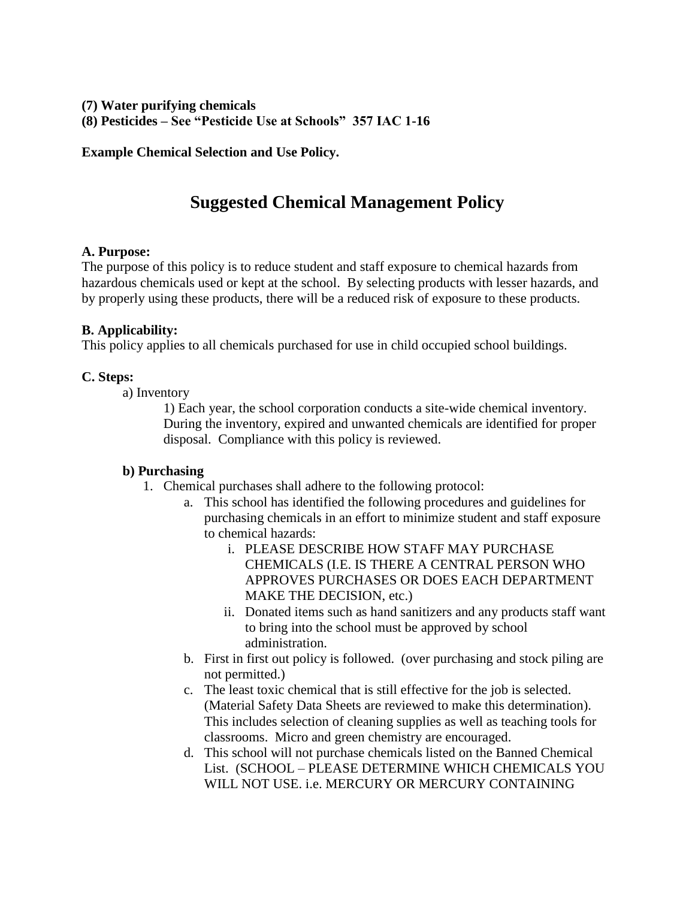### **(7) Water purifying chemicals**

**(8) Pesticides – See "Pesticide Use at Schools" 357 IAC 1-16**

**Example Chemical Selection and Use Policy.**

# **Suggested Chemical Management Policy**

### **A. Purpose:**

The purpose of this policy is to reduce student and staff exposure to chemical hazards from hazardous chemicals used or kept at the school. By selecting products with lesser hazards, and by properly using these products, there will be a reduced risk of exposure to these products.

### **B. Applicability:**

This policy applies to all chemicals purchased for use in child occupied school buildings.

### **C. Steps:**

a) Inventory

1) Each year, the school corporation conducts a site-wide chemical inventory. During the inventory, expired and unwanted chemicals are identified for proper disposal. Compliance with this policy is reviewed.

# **b) Purchasing**

- 1. Chemical purchases shall adhere to the following protocol:
	- a. This school has identified the following procedures and guidelines for purchasing chemicals in an effort to minimize student and staff exposure to chemical hazards:
		- i. PLEASE DESCRIBE HOW STAFF MAY PURCHASE CHEMICALS (I.E. IS THERE A CENTRAL PERSON WHO APPROVES PURCHASES OR DOES EACH DEPARTMENT MAKE THE DECISION, etc.)
		- ii. Donated items such as hand sanitizers and any products staff want to bring into the school must be approved by school administration.
	- b. First in first out policy is followed. (over purchasing and stock piling are not permitted.)
	- c. The least toxic chemical that is still effective for the job is selected. (Material Safety Data Sheets are reviewed to make this determination). This includes selection of cleaning supplies as well as teaching tools for classrooms. Micro and green chemistry are encouraged.
	- d. This school will not purchase chemicals listed on the Banned Chemical List. (SCHOOL – PLEASE DETERMINE WHICH CHEMICALS YOU WILL NOT USE. i.e. MERCURY OR MERCURY CONTAINING